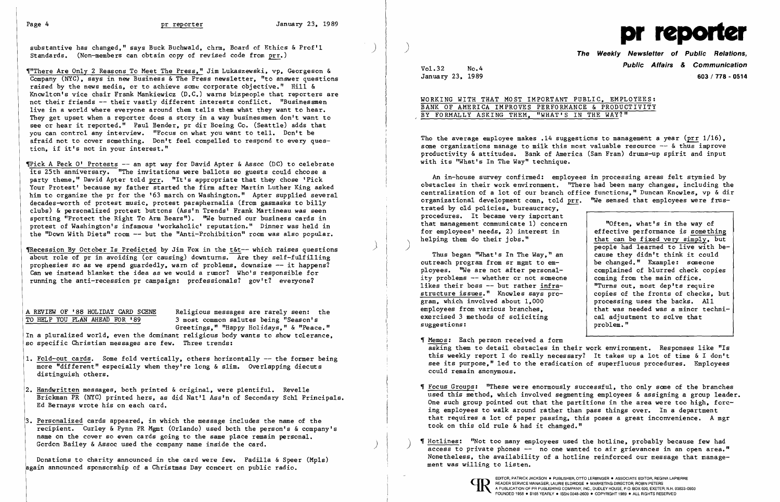substantive has changed." says Buck Buchwald, chrm. Board of Ethics & Prof'1 Standards. (Non-members can obtain copy of revised code from prr.)

~"There Are Only 2 Reasons To Meet The Press. " Jim Lukaszewski. vp , Georgeson & Company (NYC). says in new Business & The Press newsletter. "to answer questions raised by the news media, or to achieve some corporate objective." Hill & Knowlton's vice chair Frank Mankiewicz (D.C.) warns bizpeople that reporters are not their friends -- their vastly different interests conflict. "Businessmen live in a world where everyone around them tells them what they want to hear. They get upset when a reporter does a story in a way businessmen don't want to see or hear it reported." Paul Bender. pr dir Boeing Co. (Seattle) adds that you can control any interview. "Focus on what you want to tell. Don't be afraid not to cover something. Don't feel compelled to respond to every question. if it's not in your interest."

 $\P$ Pick A Peck O' Protests -- an apt way for David Apter & Assoc (DC) to celebrate its 25th anniversary. "The invitations were ballots so guests could choose a party theme." David Apter told prr. "It's appropriate that they chose 'Pick Your Protest' because my father started the firm after Martin Luther King asked him to organize the pr for the '63 march on Washington." Apter supplied several decades-worth of protest music. protest paraphernalia (from gasmasks to billy clubs) & personalized protest buttons (Ass'n Trends' Frank Martineau was seen sporting "Protect the Right To Arm Bears"). ''We burned our business cards in protest of Washington's infamous 'workaholic' reputation." Dinner was held in the "Down With Diets" room -- but the "Anti-Prohibition" room was also popular.

TRecession By October Is Predicted by Jim Fox in the t&t-- which raises questions about role of pr in avoiding (or causing) downturns. Are they self-fulfilling prophesies so as we spend guardedly, warn of problems, downsize  $--$  it happens? Can we instead blanket the idea as we would a rumor? Who's responsible for running the anti-recession pr campaign: professionals? gov't? everyone?

A REVIEW OF '88 HOLIDAY CARD SCENE Religious messages are rarely seen: the TO HELP YOU PLAN AHEAD FOR '89 3 most common salutes being "Season's 3 most common salutes being "Season's Greetings." "Happy Holidays." & "Peace."

- 1. Fold-out cards. Some fold vertically, others horizontally -- the former being more "different" especially when they're long & slim. Overlapping diecuts distinguish others.
- 2. Handwritten messages, both printed & original, were plentiful. Revelle Brickman PR (NYC) printed hers. as did Nat'l Ass'n of Secondary Sch1 Principals. Ed Bernays wrote his on each card.
- 3. Personalized cards appeared. in which the message includes the name of the recipient. Curley & Pynn PR Mgmt (Orlando) used both the person's & company's name on the cover so even cards going to the same place remain personal. Gordon Bailey & Assoc used the company name inside the card.

Vol.32 No.4 No.4 January 23. 1989 603/778 - 0514

> that can be fixed very simply. but<br>people had learned to live with be-<br>cause they didn't think it could that was needed was a minor techni-<br>cal adjustment to solve that

Tho the average employee makes .14 suggestions to management a year (prr  $1/16$ ), some organizations manage to milk this most valuable resource -- & thus improve productivity & attitudes. Bank of America (San Fran) drums-up spirit and input with its "What's In The Way" technique.

An in-house survey confirmed: employees in processing areas felt stymied by obstacles in their work environment. "There had been many changes, including the centralization of a lot of our branch office functions," Duncan Knowles, vp & dir organizational development comn, told prr. "We sensed that employees were frustrated by old policies. bureaucracy. procedures. It became very important that management communicate 1) concern "Often, what's in the way of<br>effective performance is something for employees' needs, 2) interest in helping them do their iobs."

Thus began "What's In The Way," an  $\left\{\begin{array}{ll}\text{cause they didn't think it could}\\ \text{create to em-} & \text{be changed."} & \text{Example:} & \text{some one}\end{array}\right.$ outreach program from sr mgmt to em-<br>ployees. "We are not after personal-<br>complained of blurred check copies ployees. "We are not after personal-<br>ity problems -- whether or not someone coming from the main office. ity problems  $--$  whether or not someone coming from the main office.<br>likes their boss  $--$  but rather infra-<br> $\blacksquare$  "Turns out, most dep'ts require likes their boss -- but rather  $\frac{\text{intra}}{\text{m}}$  "Turns out, most dep'ts require<br>structure issues." Knowles says pro-<br>copies of the fronts of checks. but structure issues." Knowles says pro-<br>
gram, which involved about 1.000<br>
processing uses the backs. All gram. which involved about 1,000 employees from various branches. exercised 3 methods of soliciting  $\begin{array}{c|c} \text{ca1 } \text{adjus} \\ \text{supgestions:} \end{array}$ suggestions:

In a pluralized world. even the dominant religious body wants to show tolerance. so specific Christian messages are few. Three trends:

> used this method. which involved segmenting employees & assigning a group leader. One such group pointed out that the partitions in the area were too high, forcthat requires a lot of paper passing, this poses a great inconvenience. A mgr

Donations to charity announced in the card were few. Padilla & Speer (Mp1s) lagain announced sponsorship of a Christmas Day concert on public radio.



WORKING WITH THAT MOST IMPORTANT PUBLIC. EMPLOYEES: BANK OF AMERICA IMPROVES PERFORMANCE & PRODUCTIVITY BY FORMALLY ASKING THEM. "WHAT'S IN THE WAY?"

this weekly report I do really necessary? It takes up a lot of time & I don't see its purpose." led to the eradication of superfluous procedures. Employees

- Memos: Each person received a form asking them to detail obstacles in their work environment. Responses like "Is could remain anonymous.
- Focus Groups: "These were enormously successful. tho only sane of the branches ing employees to walk around rather than pass things over. In a department took on this old rule & had it changed."
- **Hotlines:** "Not too many employees used the hotline, probably because few had access to private phones -- no one wanted to air grievances in an open area." Nonetheless. the availability of a hot1ine reinforced our message that management was willing to listen.